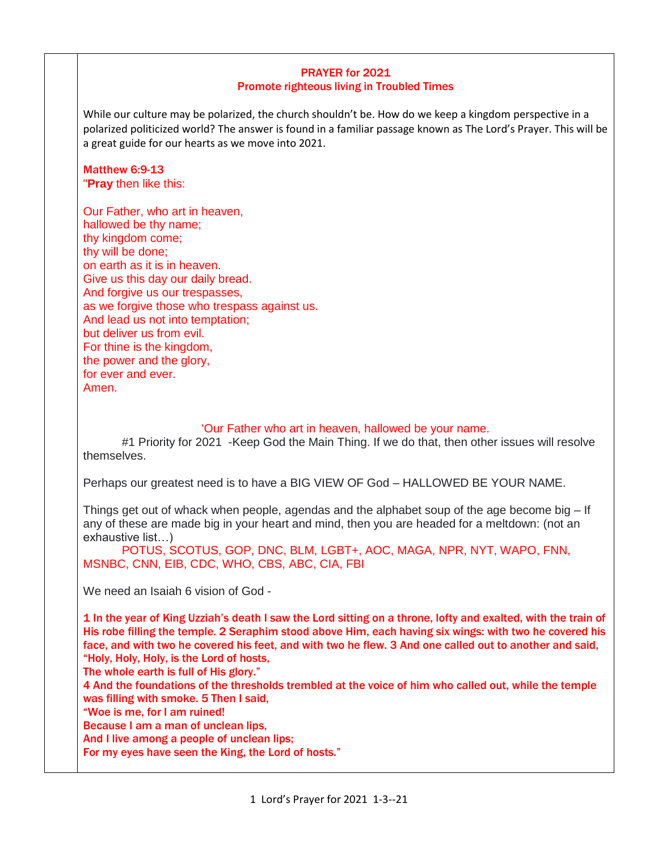## PRAYER for 2021 Promote righteous living in Troubled Times

While our culture may be polarized, the church shouldn't be. How do we keep a kingdom perspective in a polarized politicized world? The answer is found in a familiar passage known as The Lord's Prayer. This will be a great guide for our hearts as we move into 2021.

### Matthew 6:9-13 "**Pray** then like this:

Our Father, who art in heaven, hallowed be thy name; thy kingdom come; thy will be done; on earth as it is in heaven. Give us this day our daily bread. And forgive us our trespasses, as we forgive those who trespass against us. And lead us not into temptation; but deliver us from evil. For thine is the kingdom, the power and the glory, for ever and ever. Amen.

### 'Our Father who art in heaven, hallowed be your name.

#1 Priority for 2021 -Keep God the Main Thing. If we do that, then other issues will resolve themselves.

Perhaps our greatest need is to have a BIG VIEW OF God – HALLOWED BE YOUR NAME.

Things get out of whack when people, agendas and the alphabet soup of the age become big – If any of these are made big in your heart and mind, then you are headed for a meltdown: (not an exhaustive list…)

POTUS, SCOTUS, GOP, DNC, BLM, LGBT+, AOC, MAGA, NPR, NYT, WAPO, FNN, MSNBC, CNN, EIB, CDC, WHO, CBS, ABC, CIA, FBI

We need an Isaiah 6 vision of God -

1 In the year of King Uzziah's death I saw the Lord sitting on a throne, lofty and exalted, with the train of His robe filling the temple. 2 Seraphim stood above Him, each having six wings: with two he covered his face, and with two he covered his feet, and with two he flew. 3 And one called out to another and said, "Holy, Holy, Holy, is the Lord of hosts,

The whole earth is full of His glory."

4 And the foundations of the thresholds trembled at the voice of him who called out, while the temple was filling with smoke. 5 Then I said,

"Woe is me, for I am ruined!

Because I am a man of unclean lips,

And I live among a people of unclean lips;

For my eyes have seen the King, the Lord of hosts."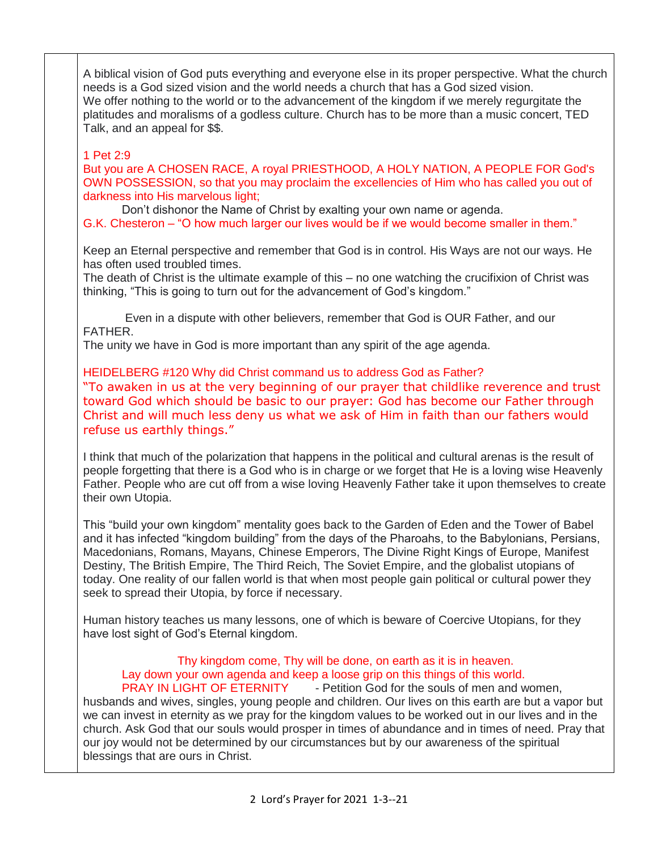A biblical vision of God puts everything and everyone else in its proper perspective. What the church needs is a God sized vision and the world needs a church that has a God sized vision. We offer nothing to the world or to the advancement of the kingdom if we merely regurgitate the platitudes and moralisms of a godless culture. Church has to be more than a music concert, TED Talk, and an appeal for \$\$.

## 1 Pet 2:9

But you are A CHOSEN RACE, A royal PRIESTHOOD, A HOLY NATION, A PEOPLE FOR God's OWN POSSESSION, so that you may proclaim the excellencies of Him who has called you out of darkness into His marvelous light;

Don't dishonor the Name of Christ by exalting your own name or agenda.

G.K. Chesteron – "O how much larger our lives would be if we would become smaller in them."

Keep an Eternal perspective and remember that God is in control. His Ways are not our ways. He has often used troubled times.

The death of Christ is the ultimate example of this – no one watching the crucifixion of Christ was thinking, "This is going to turn out for the advancement of God's kingdom."

Even in a dispute with other believers, remember that God is OUR Father, and our FATHER.

The unity we have in God is more important than any spirit of the age agenda.

# HEIDELBERG #120 Why did Christ command us to address God as Father?

"To awaken in us at the very beginning of our prayer that childlike reverence and trust toward God which should be basic to our prayer: God has become our Father through Christ and will much less deny us what we ask of Him in faith than our fathers would refuse us earthly things."

I think that much of the polarization that happens in the political and cultural arenas is the result of people forgetting that there is a God who is in charge or we forget that He is a loving wise Heavenly Father. People who are cut off from a wise loving Heavenly Father take it upon themselves to create their own Utopia.

This "build your own kingdom" mentality goes back to the Garden of Eden and the Tower of Babel and it has infected "kingdom building" from the days of the Pharoahs, to the Babylonians, Persians, Macedonians, Romans, Mayans, Chinese Emperors, The Divine Right Kings of Europe, Manifest Destiny, The British Empire, The Third Reich, The Soviet Empire, and the globalist utopians of today. One reality of our fallen world is that when most people gain political or cultural power they seek to spread their Utopia, by force if necessary.

Human history teaches us many lessons, one of which is beware of Coercive Utopians, for they have lost sight of God's Eternal kingdom.

#### Thy kingdom come, Thy will be done, on earth as it is in heaven. Lay down your own agenda and keep a loose grip on this things of this world. PRAY IN LIGHT OF ETERNITY - Petition God for the souls of men and women,

husbands and wives, singles, young people and children. Our lives on this earth are but a vapor but we can invest in eternity as we pray for the kingdom values to be worked out in our lives and in the church. Ask God that our souls would prosper in times of abundance and in times of need. Pray that our joy would not be determined by our circumstances but by our awareness of the spiritual blessings that are ours in Christ.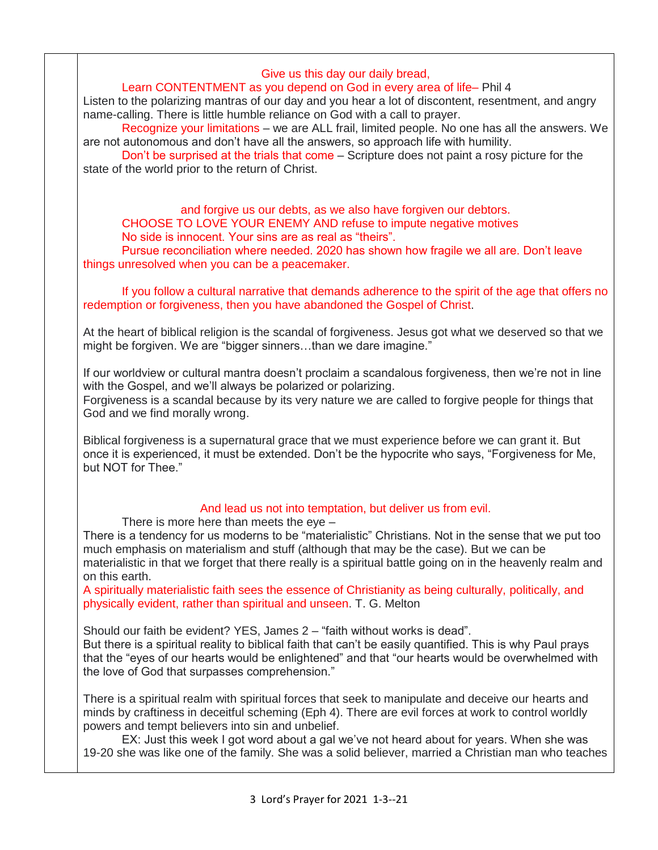## Give us this day our daily bread,

# Learn CONTENTMENT as you depend on God in every area of life– Phil 4

Listen to the polarizing mantras of our day and you hear a lot of discontent, resentment, and angry name-calling. There is little humble reliance on God with a call to prayer.

Recognize your limitations – we are ALL frail, limited people. No one has all the answers. We are not autonomous and don't have all the answers, so approach life with humility.

Don't be surprised at the trials that come – Scripture does not paint a rosy picture for the state of the world prior to the return of Christ.

# and forgive us our debts, as we also have forgiven our debtors.

CHOOSE TO LOVE YOUR ENEMY AND refuse to impute negative motives

No side is innocent. Your sins are as real as "theirs".

Pursue reconciliation where needed. 2020 has shown how fragile we all are. Don't leave things unresolved when you can be a peacemaker.

If you follow a cultural narrative that demands adherence to the spirit of the age that offers no redemption or forgiveness, then you have abandoned the Gospel of Christ.

At the heart of biblical religion is the scandal of forgiveness. Jesus got what we deserved so that we might be forgiven. We are "bigger sinners...than we dare imagine."

If our worldview or cultural mantra doesn't proclaim a scandalous forgiveness, then we're not in line with the Gospel, and we'll always be polarized or polarizing.

Forgiveness is a scandal because by its very nature we are called to forgive people for things that God and we find morally wrong.

Biblical forgiveness is a supernatural grace that we must experience before we can grant it. But once it is experienced, it must be extended. Don't be the hypocrite who says, "Forgiveness for Me, but NOT for Thee."

### And lead us not into temptation, but deliver us from evil.

There is more here than meets the eye –

There is a tendency for us moderns to be "materialistic" Christians. Not in the sense that we put too much emphasis on materialism and stuff (although that may be the case). But we can be materialistic in that we forget that there really is a spiritual battle going on in the heavenly realm and on this earth.

A spiritually materialistic faith sees the essence of Christianity as being culturally, politically, and physically evident, rather than spiritual and unseen. T. G. Melton

Should our faith be evident? YES, James 2 – "faith without works is dead".

But there is a spiritual reality to biblical faith that can't be easily quantified. This is why Paul prays that the "eyes of our hearts would be enlightened" and that "our hearts would be overwhelmed with the love of God that surpasses comprehension."

There is a spiritual realm with spiritual forces that seek to manipulate and deceive our hearts and minds by craftiness in deceitful scheming (Eph 4). There are evil forces at work to control worldly powers and tempt believers into sin and unbelief.

EX: Just this week I got word about a gal we've not heard about for years. When she was 19-20 she was like one of the family. She was a solid believer, married a Christian man who teaches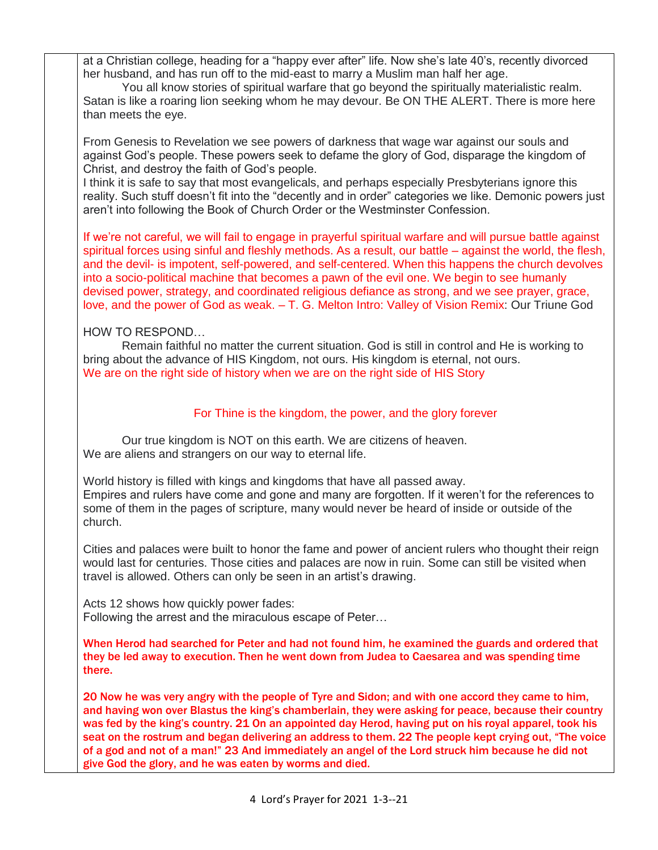at a Christian college, heading for a "happy ever after" life. Now she's late 40's, recently divorced her husband, and has run off to the mid-east to marry a Muslim man half her age.

You all know stories of spiritual warfare that go beyond the spiritually materialistic realm. Satan is like a roaring lion seeking whom he may devour. Be ON THE ALERT. There is more here than meets the eye.

From Genesis to Revelation we see powers of darkness that wage war against our souls and against God's people. These powers seek to defame the glory of God, disparage the kingdom of Christ, and destroy the faith of God's people.

I think it is safe to say that most evangelicals, and perhaps especially Presbyterians ignore this reality. Such stuff doesn't fit into the "decently and in order" categories we like. Demonic powers just aren't into following the Book of Church Order or the Westminster Confession.

If we're not careful, we will fail to engage in prayerful spiritual warfare and will pursue battle against spiritual forces using sinful and fleshly methods. As a result, our battle – against the world, the flesh, and the devil- is impotent, self-powered, and self-centered. When this happens the church devolves into a socio-political machine that becomes a pawn of the evil one. We begin to see humanly devised power, strategy, and coordinated religious defiance as strong, and we see prayer, grace, love, and the power of God as weak. – T. G. Melton Intro: Valley of Vision Remix: Our Triune God

## HOW TO RESPOND…

Remain faithful no matter the current situation. God is still in control and He is working to bring about the advance of HIS Kingdom, not ours. His kingdom is eternal, not ours. We are on the right side of history when we are on the right side of HIS Story

## For Thine is the kingdom, the power, and the glory forever

Our true kingdom is NOT on this earth. We are citizens of heaven. We are aliens and strangers on our way to eternal life.

World history is filled with kings and kingdoms that have all passed away. Empires and rulers have come and gone and many are forgotten. If it weren't for the references to some of them in the pages of scripture, many would never be heard of inside or outside of the church.

Cities and palaces were built to honor the fame and power of ancient rulers who thought their reign would last for centuries. Those cities and palaces are now in ruin. Some can still be visited when travel is allowed. Others can only be seen in an artist's drawing.

Acts 12 shows how quickly power fades: Following the arrest and the miraculous escape of Peter…

When Herod had searched for Peter and had not found him, he examined the guards and ordered that they be led away to execution. Then he went down from Judea to Caesarea and was spending time there.

20 Now he was very angry with the people of Tyre and Sidon; and with one accord they came to him, and having won over Blastus the king's chamberlain, they were asking for peace, because their country was fed by the king's country. 21 On an appointed day Herod, having put on his royal apparel, took his seat on the rostrum and began delivering an address to them. 22 The people kept crying out, "The voice of a god and not of a man!" 23 And immediately an angel of the Lord struck him because he did not give God the glory, and he was eaten by worms and died.